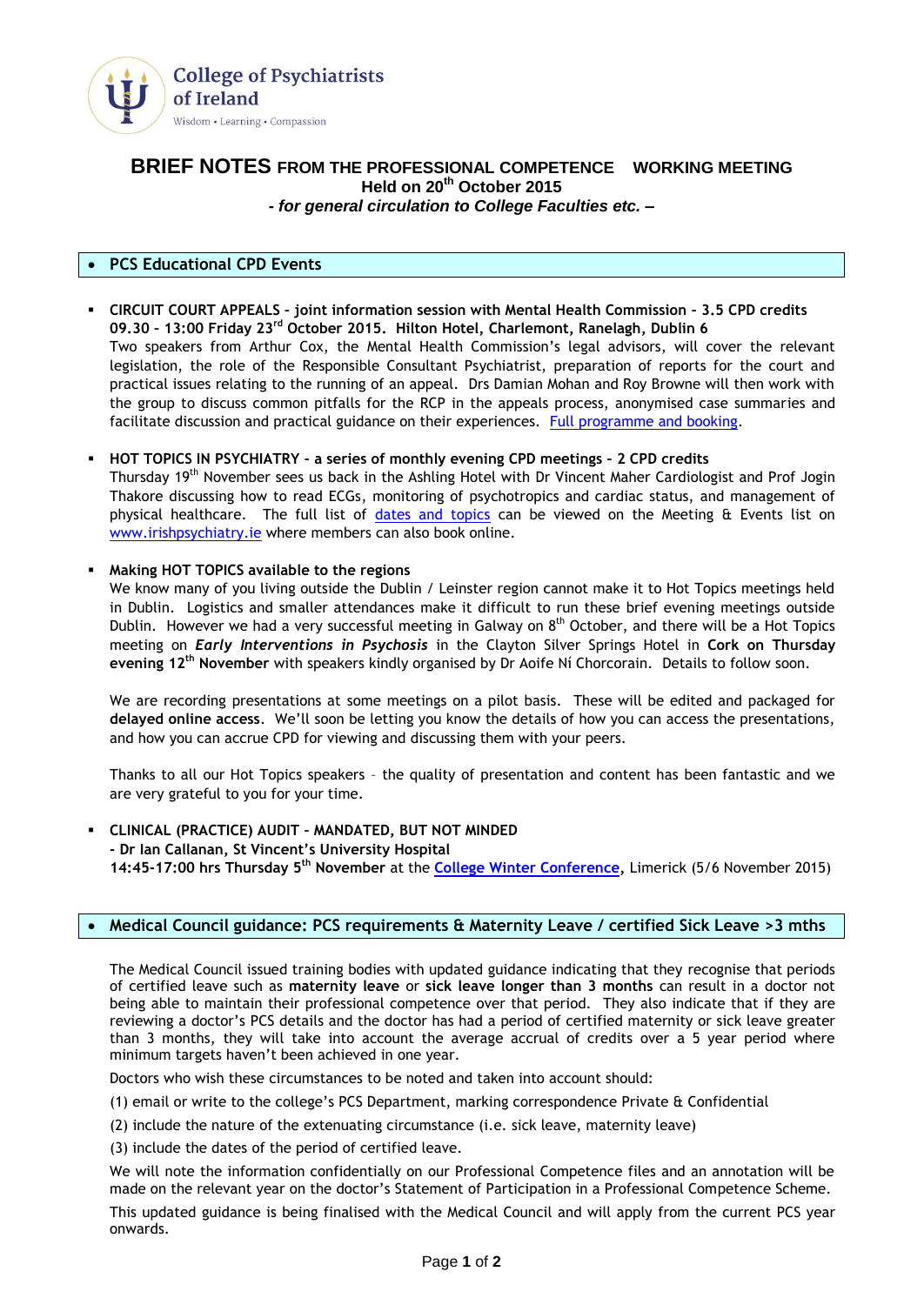

# **BRIEF NOTES FROM THE PROFESSIONAL COMPETENCE WORKING MEETING Held on 20 th October 2015** *- for general circulation to College Faculties etc. –*

## **PCS Educational CPD Events**

 **CIRCUIT COURT APPEALS – joint information session with Mental Health Commission – 3.5 CPD credits 09.30 – 13:00 Friday 23rd October 2015. Hilton Hotel, Charlemont, Ranelagh, Dublin 6** Two speakers from Arthur Cox, the Mental Health Commission's legal advisors, will cover the relevant legislation, the role of the Responsible Consultant Psychiatrist, preparation of reports for the court and practical issues relating to the running of an appeal. Drs Damian Mohan and Roy Browne will then work with the group to discuss common pitfalls for the RCP in the appeals process, anonymised case summaries and facilitate discussion and practical guidance on their experiences. [Full programme and booking.](http://irishpsychiatry.ie/Home/Upcomingeventsandcourses.aspx?id=b38e5da9-64d7-461e-af6c-ae18c47b741a)

#### **HOT TOPICS IN PSYCHIATRY – a series of monthly evening CPD meetings – 2 CPD credits**

Thursday 19th November sees us back in the Ashling Hotel with Dr Vincent Maher Cardiologist and Prof Jogin Thakore discussing how to read ECGs, monitoring of psychotropics and cardiac status, and management of physical healthcare. The full list of [dates and topics](http://irishpsychiatry.ie/Home/Upcomingeventsandcourses.aspx?id=464464c8-efa9-4c93-9c49-c763f7f49f07) can be viewed on the Meeting & Events list on [www.irishpsychiatry.ie](http://www.irishpsychiatry.ie/) where members can also book online.

### **Making HOT TOPICS available to the regions**

We know many of you living outside the Dublin / Leinster region cannot make it to Hot Topics meetings held in Dublin. Logistics and smaller attendances make it difficult to run these brief evening meetings outside Dublin. However we had a very successful meeting in Galway on 8<sup>th</sup> October, and there will be a Hot Topics meeting on *Early Interventions in Psychosis* in the Clayton Silver Springs Hotel in **Cork on Thursday evening 12th November** with speakers kindly organised by Dr Aoife Ní Chorcorain. Details to follow soon.

We are recording presentations at some meetings on a pilot basis. These will be edited and packaged for **delayed online access**. We'll soon be letting you know the details of how you can access the presentations, and how you can accrue CPD for viewing and discussing them with your peers.

Thanks to all our Hot Topics speakers – the quality of presentation and content has been fantastic and we are very grateful to you for your time.

### **CLINICAL (PRACTICE) AUDIT – MANDATED, BUT NOT MINDED - Dr Ian Callanan, St Vincent's University Hospital 14:45-17:00 hrs Thursday 5th November** at the **[College Winter Conference,](http://irishpsychiatry.ie/conferences.aspx)** Limerick (5/6 November 2015)

## **Medical Council guidance: PCS requirements & Maternity Leave / certified Sick Leave >3 mths**

The Medical Council issued training bodies with updated guidance indicating that they recognise that periods of certified leave such as **maternity leave** or **sick leave longer than 3 months** can result in a doctor not being able to maintain their professional competence over that period. They also indicate that if they are reviewing a doctor's PCS details and the doctor has had a period of certified maternity or sick leave greater than 3 months, they will take into account the average accrual of credits over a 5 year period where minimum targets haven't been achieved in one year.

Doctors who wish these circumstances to be noted and taken into account should:

(1) email or write to the college's PCS Department, marking correspondence Private & Confidential

(2) include the nature of the extenuating circumstance (i.e. sick leave, maternity leave)

(3) include the dates of the period of certified leave.

We will note the information confidentially on our Professional Competence files and an annotation will be made on the relevant year on the doctor's Statement of Participation in a Professional Competence Scheme. This updated guidance is being finalised with the Medical Council and will apply from the current PCS year onwards.